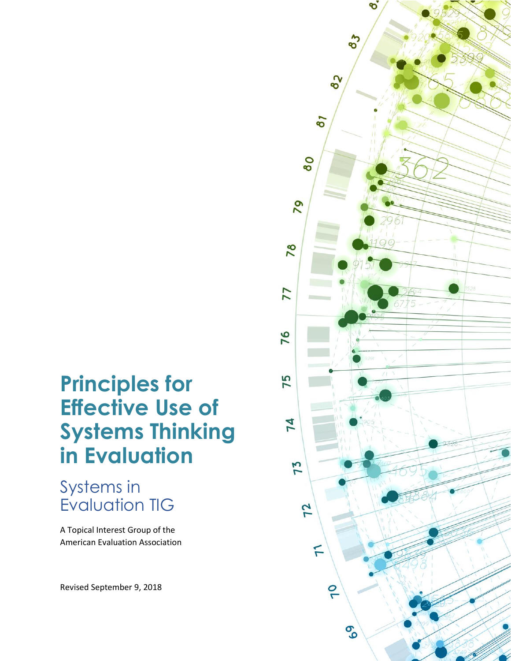# **Principles for Effective Use of Systems Thinking in Evaluation**

# Systems in Evaluation TIG

A Topical Interest Group of the American Evaluation Association

Revised September 9, 2018

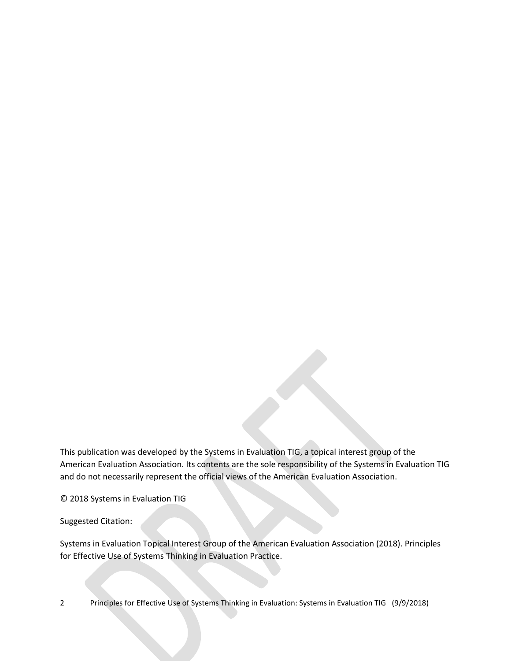This publication was developed by the Systems in Evaluation TIG, a topical interest group of the American Evaluation Association. Its contents are the sole responsibility of the Systems in Evaluation TIG and do not necessarily represent the official views of the American Evaluation Association.

© 2018 Systems in Evaluation TIG

Suggested Citation:

Systems in Evaluation Topical Interest Group of the American Evaluation Association (2018). Principles for Effective Use of Systems Thinking in Evaluation Practice.

2 Principles for Effective Use of Systems Thinking in Evaluation: Systems in Evaluation TIG (9/9/2018)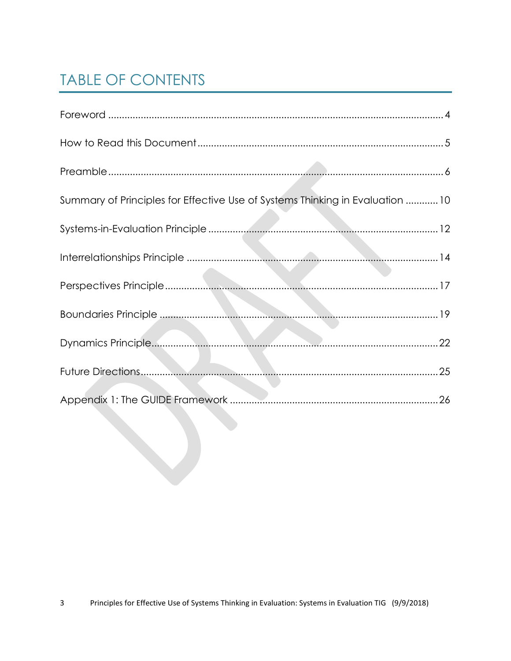# **TABLE OF CONTENTS**

| Summary of Principles for Effective Use of Systems Thinking in Evaluation 10 |
|------------------------------------------------------------------------------|
|                                                                              |
|                                                                              |
|                                                                              |
|                                                                              |
| 22                                                                           |
|                                                                              |
|                                                                              |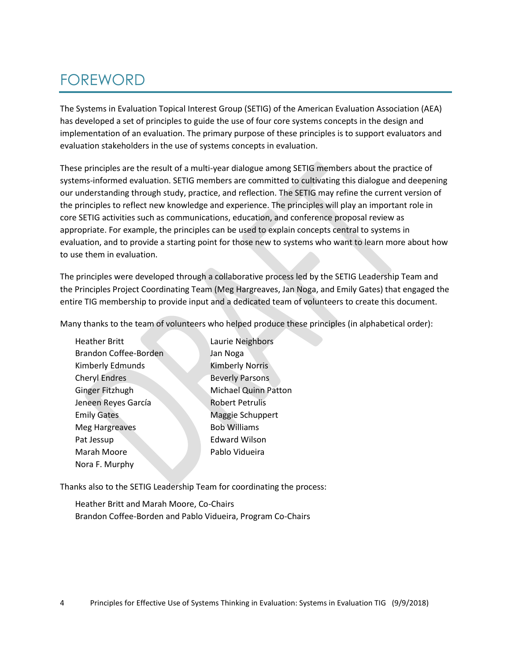## <span id="page-3-0"></span>FOREWORD

The Systems in Evaluation Topical Interest Group (SETIG) of the American Evaluation Association (AEA) has developed a set of principles to guide the use of four core systems concepts in the design and implementation of an evaluation. The primary purpose of these principles is to support evaluators and evaluation stakeholders in the use of systems concepts in evaluation.

These principles are the result of a multi-year dialogue among SETIG members about the practice of systems-informed evaluation. SETIG members are committed to cultivating this dialogue and deepening our understanding through study, practice, and reflection. The SETIG may refine the current version of the principles to reflect new knowledge and experience. The principles will play an important role in core SETIG activities such as communications, education, and conference proposal review as appropriate. For example, the principles can be used to explain concepts central to systems in evaluation, and to provide a starting point for those new to systems who want to learn more about how to use them in evaluation.

The principles were developed through a collaborative process led by the SETIG Leadership Team and the Principles Project Coordinating Team (Meg Hargreaves, Jan Noga, and Emily Gates) that engaged the entire TIG membership to provide input and a dedicated team of volunteers to create this document.

Many thanks to the team of volunteers who helped produce these principles (in alphabetical order):

| <b>Heather Britt</b>  | Laurie Neighbors            |
|-----------------------|-----------------------------|
| Brandon Coffee-Borden | Jan Noga                    |
| Kimberly Edmunds      | <b>Kimberly Norris</b>      |
| Cheryl Endres         | <b>Beverly Parsons</b>      |
| Ginger Fitzhugh       | <b>Michael Quinn Patton</b> |
| Jeneen Reyes García   | <b>Robert Petrulis</b>      |
| <b>Emily Gates</b>    | Maggie Schuppert            |
| <b>Meg Hargreaves</b> | <b>Bob Williams</b>         |
| Pat Jessup            | <b>Edward Wilson</b>        |
| Marah Moore           | Pablo Vidueira              |
| Nora F. Murphy        |                             |

Thanks also to the SETIG Leadership Team for coordinating the process:

Heather Britt and Marah Moore, Co-Chairs Brandon Coffee-Borden and Pablo Vidueira, Program Co-Chairs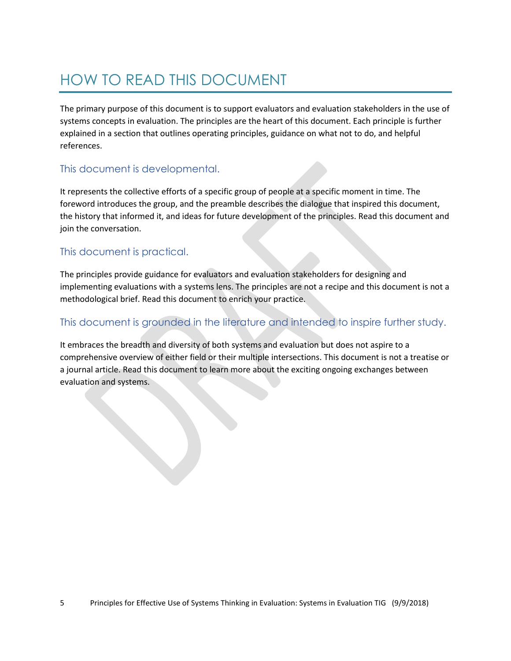# <span id="page-4-0"></span>HOW TO READ THIS DOCUMENT

The primary purpose of this document is to support evaluators and evaluation stakeholders in the use of systems concepts in evaluation. The principles are the heart of this document. Each principle is further explained in a section that outlines operating principles, guidance on what not to do, and helpful references.

#### This document is developmental.

It represents the collective efforts of a specific group of people at a specific moment in time. The foreword introduces the group, and the preamble describes the dialogue that inspired this document, the history that informed it, and ideas for future development of the principles. Read this document and join the conversation.

#### This document is practical.

The principles provide guidance for evaluators and evaluation stakeholders for designing and implementing evaluations with a systems lens. The principles are not a recipe and this document is not a methodological brief. Read this document to enrich your practice.

#### This document is grounded in the literature and intended to inspire further study.

It embraces the breadth and diversity of both systems and evaluation but does not aspire to a comprehensive overview of either field or their multiple intersections. This document is not a treatise or a journal article. Read this document to learn more about the exciting ongoing exchanges between evaluation and systems.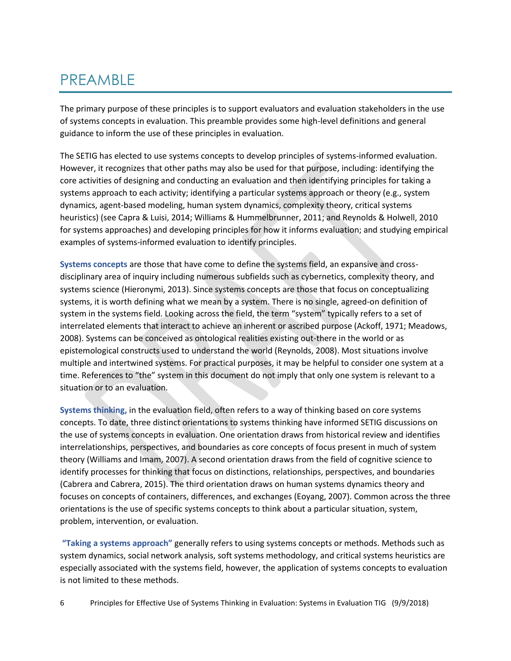## <span id="page-5-0"></span>PREAMBLE

The primary purpose of these principles is to support evaluators and evaluation stakeholders in the use of systems concepts in evaluation. This preamble provides some high-level definitions and general guidance to inform the use of these principles in evaluation.

The SETIG has elected to use systems concepts to develop principles of systems-informed evaluation. However, it recognizes that other paths may also be used for that purpose, including: identifying the core activities of designing and conducting an evaluation and then identifying principles for taking a systems approach to each activity; identifying a particular systems approach or theory (e.g., system dynamics, agent-based modeling, human system dynamics, complexity theory, critical systems heuristics) (see Capra & Luisi, 2014; Williams & Hummelbrunner, 2011; and Reynolds & Holwell, 2010 for systems approaches) and developing principles for how it informs evaluation; and studying empirical examples of systems-informed evaluation to identify principles.

**Systems concepts** are those that have come to define the systems field, an expansive and crossdisciplinary area of inquiry including numerous subfields such as cybernetics, complexity theory, and systems science (Hieronymi, 2013). Since systems concepts are those that focus on conceptualizing systems, it is worth defining what we mean by a system. There is no single, agreed-on definition of system in the systems field. Looking across the field, the term "system" typically refers to a set of interrelated elements that interact to achieve an inherent or ascribed purpose (Ackoff, 1971; Meadows, 2008). Systems can be conceived as ontological realities existing out-there in the world or as epistemological constructs used to understand the world (Reynolds, 2008). Most situations involve multiple and intertwined systems. For practical purposes, it may be helpful to consider one system at a time. References to "the" system in this document do not imply that only one system is relevant to a situation or to an evaluation.

**Systems thinking,** in the evaluation field, often refers to a way of thinking based on core systems concepts. To date, three distinct orientations to systems thinking have informed SETIG discussions on the use of systems concepts in evaluation. One orientation draws from historical review and identifies interrelationships, perspectives, and boundaries as core concepts of focus present in much of system theory (Williams and Imam, 2007). A second orientation draws from the field of cognitive science to identify processes for thinking that focus on distinctions, relationships, perspectives, and boundaries (Cabrera and Cabrera, 2015). The third orientation draws on human systems dynamics theory and focuses on concepts of containers, differences, and exchanges (Eoyang, 2007). Common across the three orientations is the use of specific systems concepts to think about a particular situation, system, problem, intervention, or evaluation.

**"Taking a systems approach"** generally refers to using systems concepts or methods. Methods such as system dynamics, social network analysis, soft systems methodology, and critical systems heuristics are especially associated with the systems field, however, the application of systems concepts to evaluation is not limited to these methods.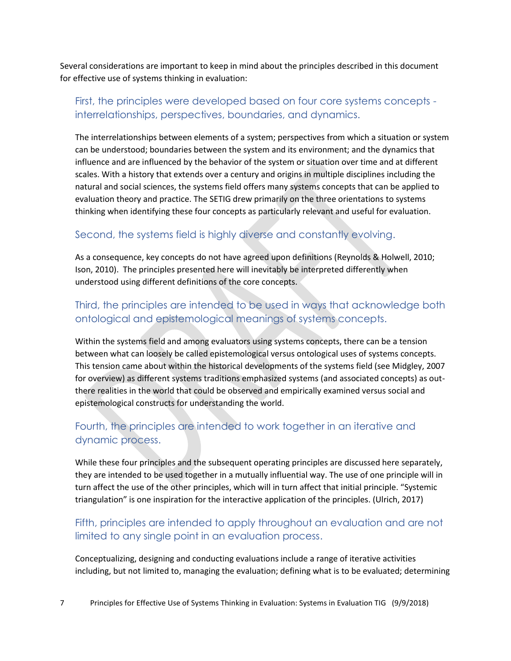Several considerations are important to keep in mind about the principles described in this document for effective use of systems thinking in evaluation:

#### First, the principles were developed based on four core systems concepts interrelationships, perspectives, boundaries, and dynamics.

The interrelationships between elements of a system; perspectives from which a situation or system can be understood; boundaries between the system and its environment; and the dynamics that influence and are influenced by the behavior of the system or situation over time and at different scales. With a history that extends over a century and origins in multiple disciplines including the natural and social sciences, the systems field offers many systems concepts that can be applied to evaluation theory and practice. The SETIG drew primarily on the three orientations to systems thinking when identifying these four concepts as particularly relevant and useful for evaluation.

#### Second, the systems field is highly diverse and constantly evolving.

As a consequence, key concepts do not have agreed upon definitions (Reynolds & Holwell, 2010; Ison, 2010). The principles presented here will inevitably be interpreted differently when understood using different definitions of the core concepts.

#### Third, the principles are intended to be used in ways that acknowledge both ontological and epistemological meanings of systems concepts.

Within the systems field and among evaluators using systems concepts, there can be a tension between what can loosely be called epistemological versus ontological uses of systems concepts. This tension came about within the historical developments of the systems field (see Midgley, 2007 for overview) as different systems traditions emphasized systems (and associated concepts) as outthere realities in the world that could be observed and empirically examined versus social and epistemological constructs for understanding the world.

#### Fourth, the principles are intended to work together in an iterative and dynamic process.

While these four principles and the subsequent operating principles are discussed here separately, they are intended to be used together in a mutually influential way. The use of one principle will in turn affect the use of the other principles, which will in turn affect that initial principle. "Systemic triangulation" is one inspiration for the interactive application of the principles. (Ulrich, 2017)

#### Fifth, principles are intended to apply throughout an evaluation and are not limited to any single point in an evaluation process.

Conceptualizing, designing and conducting evaluations include a range of iterative activities including, but not limited to, managing the evaluation; defining what is to be evaluated; determining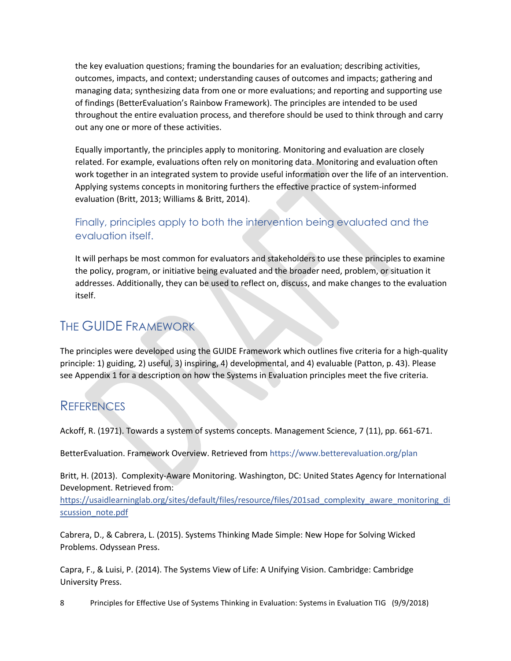the key evaluation questions; framing the boundaries for an evaluation; describing activities, outcomes, impacts, and context; understanding causes of outcomes and impacts; gathering and managing data; synthesizing data from one or more evaluations; and reporting and supporting use of findings (BetterEvaluation's Rainbow Framework). The principles are intended to be used throughout the entire evaluation process, and therefore should be used to think through and carry out any one or more of these activities.

Equally importantly, the principles apply to monitoring. Monitoring and evaluation are closely related. For example, evaluations often rely on monitoring data. Monitoring and evaluation often work together in an integrated system to provide useful information over the life of an intervention. Applying systems concepts in monitoring furthers the effective practice of system-informed evaluation (Britt, 2013; Williams & Britt, 2014).

#### Finally, principles apply to both the intervention being evaluated and the evaluation itself.

It will perhaps be most common for evaluators and stakeholders to use these principles to examine the policy, program, or initiative being evaluated and the broader need, problem, or situation it addresses. Additionally, they can be used to reflect on, discuss, and make changes to the evaluation itself.

## THE GUIDE FRAMEWORK

The principles were developed using the GUIDE Framework which outlines five criteria for a high-quality principle: 1) guiding, 2) useful, 3) inspiring, 4) developmental, and 4) evaluable (Patton, p. 43). Please see Appendix 1 for a description on how the Systems in Evaluation principles meet the five criteria.

## **REFERENCES**

Ackoff, R. (1971). Towards a system of systems concepts. Management Science, 7 (11), pp. 661-671.

BetterEvaluation. Framework Overview. Retrieved from<https://www.betterevaluation.org/plan>

Britt, H. (2013). Complexity-Aware Monitoring. Washington, DC: United States Agency for International Development. Retrieved from:

[https://usaidlearninglab.org/sites/default/files/resource/files/201sad\\_complexity\\_aware\\_monitoring\\_di](https://usaidlearninglab.org/sites/default/files/resource/files/201sad_complexity_aware_monitoring_discussion_note.pdf) [scussion\\_note.pdf](https://usaidlearninglab.org/sites/default/files/resource/files/201sad_complexity_aware_monitoring_discussion_note.pdf)

Cabrera, D., & Cabrera, L. (2015). Systems Thinking Made Simple: New Hope for Solving Wicked Problems. Odyssean Press.

Capra, F., & Luisi, P. (2014). The Systems View of Life: A Unifying Vision. Cambridge: Cambridge University Press.

8 Principles for Effective Use of Systems Thinking in Evaluation: Systems in Evaluation TIG (9/9/2018)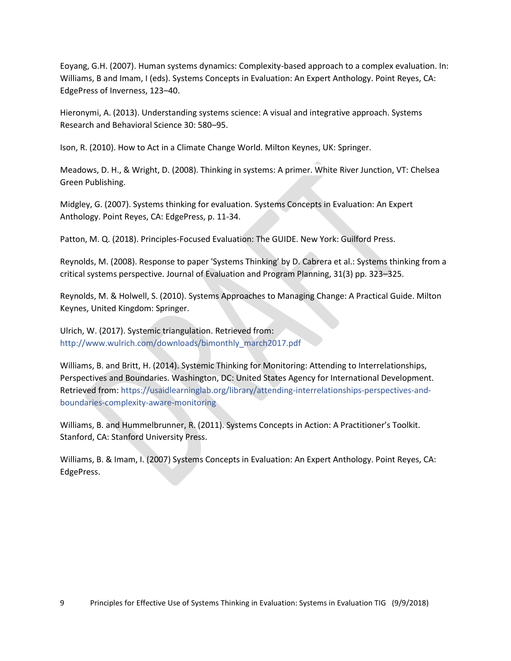Eoyang, G.H. (2007). Human systems dynamics: Complexity-based approach to a complex evaluation. In: Williams, B and Imam, I (eds). Systems Concepts in Evaluation: An Expert Anthology. Point Reyes, CA: EdgePress of Inverness, 123–40.

Hieronymi, A. (2013). Understanding systems science: A visual and integrative approach. Systems Research and Behavioral Science 30: 580–95.

Ison, R. (2010). How to Act in a Climate Change World. Milton Keynes, UK: Springer.

Meadows, D. H., & Wright, D. (2008). Thinking in systems: A primer. White River Junction, VT: Chelsea Green Publishing.

Midgley, G. (2007). Systems thinking for evaluation. Systems Concepts in Evaluation: An Expert Anthology. Point Reyes, CA: EdgePress, p. 11-34.

Patton, M. Q. (2018). Principles-Focused Evaluation: The GUIDE. New York: Guilford Press.

Reynolds, M. (2008). Response to paper 'Systems Thinking' by D. Cabrera et al.: Systems thinking from a critical systems perspective. Journal of Evaluation and Program Planning, 31(3) pp. 323–325.

Reynolds, M. & Holwell, S. (2010). Systems Approaches to Managing Change: A Practical Guide. Milton Keynes, United Kingdom: Springer.

Ulrich, W. (2017). Systemic triangulation. Retrieved from: [http://www.wulrich.com/downloads/bimonthly\\_march2017.pdf](http://www.wulrich.com/downloads/bimonthly_march2017.pdf)

Williams, B. and Britt, H. (2014). Systemic Thinking for Monitoring: Attending to Interrelationships, Perspectives and Boundaries. Washington, DC: United States Agency for International Development. Retrieved from: [https://usaidlearninglab.org/library/attending-interrelationships-perspectives-and](https://usaidlearninglab.org/library/attending-interrelationships-perspectives-and-boundaries-complexity-aware-monitoring)[boundaries-complexity-aware-monitoring](https://usaidlearninglab.org/library/attending-interrelationships-perspectives-and-boundaries-complexity-aware-monitoring)

Williams, B. and Hummelbrunner, R. (2011). Systems Concepts in Action: A Practitioner's Toolkit. Stanford, CA: Stanford University Press.

Williams, B. & Imam, I. (2007) Systems Concepts in Evaluation: An Expert Anthology. Point Reyes, CA: EdgePress.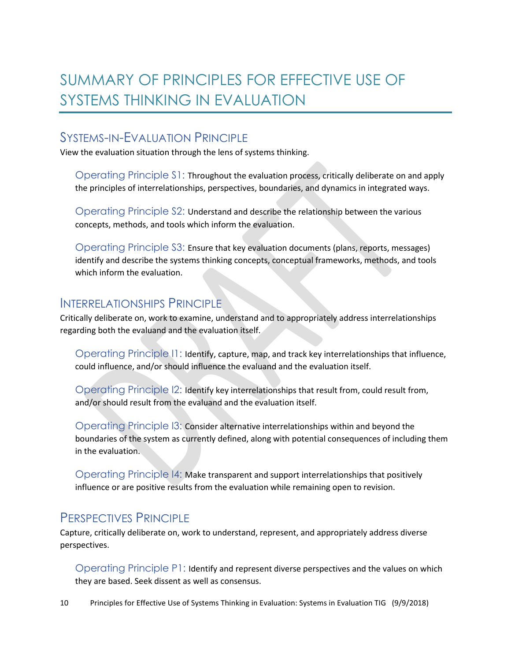# <span id="page-9-0"></span>SUMMARY OF PRINCIPLES FOR EFFECTIVE USE OF SYSTEMS THINKING IN EVALUATION

## SYSTEMS-IN-EVALUATION PRINCIPLE

View the evaluation situation through the lens of systems thinking.

Operating Principle S1: Throughout the evaluation process, critically deliberate on and apply the principles of interrelationships, perspectives, boundaries, and dynamics in integrated ways.

Operating Principle S2: Understand and describe the relationship between the various concepts, methods, and tools which inform the evaluation.

Operating Principle S3: Ensure that key evaluation documents (plans, reports, messages) identify and describe the systems thinking concepts, conceptual frameworks, methods, and tools which inform the evaluation.

#### INTERRELATIONSHIPS PRINCIPLE

Critically deliberate on, work to examine, understand and to appropriately address interrelationships regarding both the evaluand and the evaluation itself.

Operating Principle I1: Identify, capture, map, and track key interrelationships that influence, could influence, and/or should influence the evaluand and the evaluation itself.

Operating Principle I2: Identify key interrelationships that result from, could result from, and/or should result from the evaluand and the evaluation itself.

Operating Principle I3: Consider alternative interrelationships within and beyond the boundaries of the system as currently defined, along with potential consequences of including them in the evaluation.

Operating Principle I4: Make transparent and support interrelationships that positively influence or are positive results from the evaluation while remaining open to revision.

## PERSPECTIVES PRINCIPLE

Capture, critically deliberate on, work to understand, represent, and appropriately address diverse perspectives.

Operating Principle P1: Identify and represent diverse perspectives and the values on which they are based. Seek dissent as well as consensus.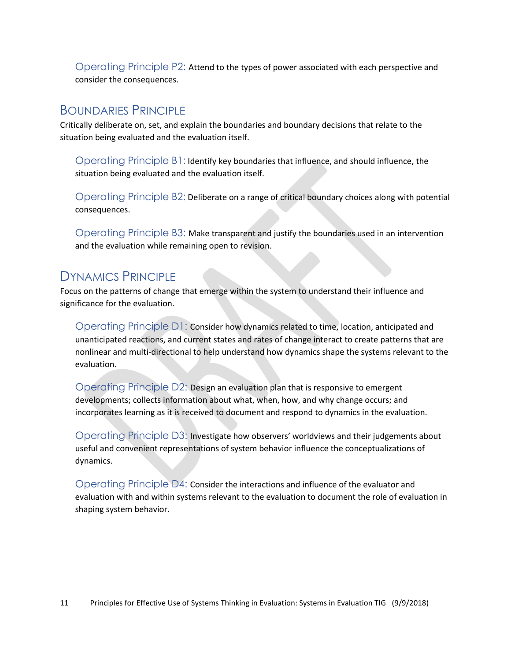Operating Principle P2: Attend to the types of power associated with each perspective and consider the consequences.

#### BOUNDARIES PRINCIPLE

Critically deliberate on, set, and explain the boundaries and boundary decisions that relate to the situation being evaluated and the evaluation itself.

Operating Principle B1: Identify key boundaries that influence, and should influence, the situation being evaluated and the evaluation itself.

Operating Principle B2: Deliberate on a range of critical boundary choices along with potential consequences.

Operating Principle B3: Make transparent and justify the boundaries used in an intervention and the evaluation while remaining open to revision.

### DYNAMICS PRINCIPLE

Focus on the patterns of change that emerge within the system to understand their influence and significance for the evaluation.

Operating Principle D1: Consider how dynamics related to time, location, anticipated and unanticipated reactions, and current states and rates of change interact to create patterns that are nonlinear and multi-directional to help understand how dynamics shape the systems relevant to the evaluation.

Operating Principle D2: Design an evaluation plan that is responsive to emergent developments; collects information about what, when, how, and why change occurs; and incorporates learning as it is received to document and respond to dynamics in the evaluation.

Operating Principle D3: Investigate how observers' worldviews and their judgements about useful and convenient representations of system behavior influence the conceptualizations of dynamics.

<span id="page-10-0"></span>Operating Principle D4: Consider the interactions and influence of the evaluator and evaluation with and within systems relevant to the evaluation to document the role of evaluation in shaping system behavior.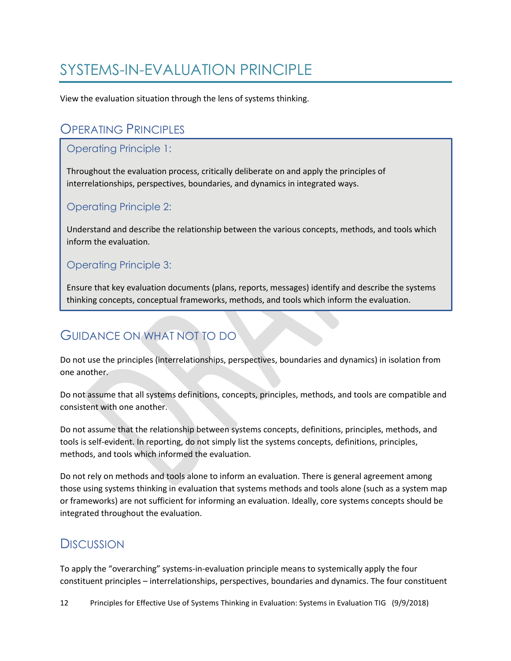## SYSTEMS-IN-EVALUATION PRINCIPLE

View the evaluation situation through the lens of systems thinking.

### **OPERATING PRINCIPLES**

#### Operating Principle 1:

Throughout the evaluation process, critically deliberate on and apply the principles of interrelationships, perspectives, boundaries, and dynamics in integrated ways.

#### Operating Principle 2:

Understand and describe the relationship between the various concepts, methods, and tools which inform the evaluation.

#### Operating Principle 3:

Ensure that key evaluation documents (plans, reports, messages) identify and describe the systems thinking concepts, conceptual frameworks, methods, and tools which inform the evaluation.

## GUIDANCE ON WHAT NOT TO DO

Do not use the principles (interrelationships, perspectives, boundaries and dynamics) in isolation from one another.

Do not assume that all systems definitions, concepts, principles, methods, and tools are compatible and consistent with one another.

Do not assume that the relationship between systems concepts, definitions, principles, methods, and tools is self-evident. In reporting, do not simply list the systems concepts, definitions, principles, methods, and tools which informed the evaluation.

Do not rely on methods and tools alone to inform an evaluation. There is general agreement among those using systems thinking in evaluation that systems methods and tools alone (such as a system map or frameworks) are not sufficient for informing an evaluation. Ideally, core systems concepts should be integrated throughout the evaluation.

## **DISCUSSION**

To apply the "overarching" systems-in-evaluation principle means to systemically apply the four constituent principles – interrelationships, perspectives, boundaries and dynamics. The four constituent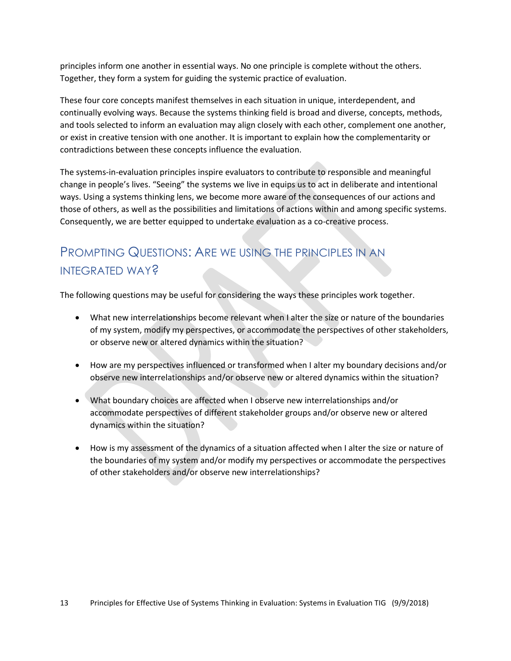principles inform one another in essential ways. No one principle is complete without the others. Together, they form a system for guiding the systemic practice of evaluation.

These four core concepts manifest themselves in each situation in unique, interdependent, and continually evolving ways. Because the systems thinking field is broad and diverse, concepts, methods, and tools selected to inform an evaluation may align closely with each other, complement one another, or exist in creative tension with one another. It is important to explain how the complementarity or contradictions between these concepts influence the evaluation.

The systems-in-evaluation principles inspire evaluators to contribute to responsible and meaningful change in people's lives. "Seeing" the systems we live in equips us to act in deliberate and intentional ways. Using a systems thinking lens, we become more aware of the consequences of our actions and those of others, as well as the possibilities and limitations of actions within and among specific systems. Consequently, we are better equipped to undertake evaluation as a co-creative process.

## PROMPTING QUESTIONS: ARE WE USING THE PRINCIPLES IN AN INTEGRATED WAY?

The following questions may be useful for considering the ways these principles work together.

- What new interrelationships become relevant when I alter the size or nature of the boundaries of my system, modify my perspectives, or accommodate the perspectives of other stakeholders, or observe new or altered dynamics within the situation?
- How are my perspectives influenced or transformed when I alter my boundary decisions and/or observe new interrelationships and/or observe new or altered dynamics within the situation?
- What boundary choices are affected when I observe new interrelationships and/or accommodate perspectives of different stakeholder groups and/or observe new or altered dynamics within the situation?
- How is my assessment of the dynamics of a situation affected when I alter the size or nature of the boundaries of my system and/or modify my perspectives or accommodate the perspectives of other stakeholders and/or observe new interrelationships?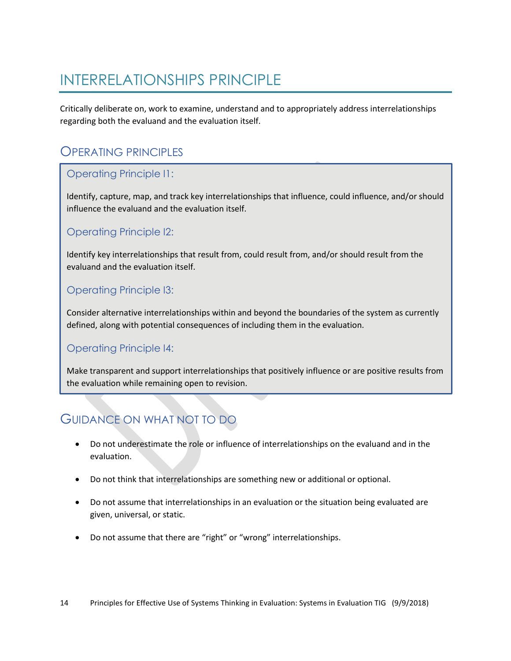# <span id="page-13-0"></span>INTERRELATIONSHIPS PRINCIPLE

Critically deliberate on, work to examine, understand and to appropriately address interrelationships regarding both the evaluand and the evaluation itself.

### OPERATING PRINCIPLES

#### Operating Principle I1:

Identify, capture, map, and track key interrelationships that influence, could influence, and/or should influence the evaluand and the evaluation itself.

#### Operating Principle I2:

Identify key interrelationships that result from, could result from, and/or should result from the evaluand and the evaluation itself.

#### Operating Principle I3:

Consider alternative interrelationships within and beyond the boundaries of the system as currently defined, along with potential consequences of including them in the evaluation.

#### Operating Principle I4:

Make transparent and support interrelationships that positively influence or are positive results from the evaluation while remaining open to revision.

## GUIDANCE ON WHAT NOT TO DO

- Do not underestimate the role or influence of interrelationships on the evaluand and in the evaluation.
- Do not think that interrelationships are something new or additional or optional.
- Do not assume that interrelationships in an evaluation or the situation being evaluated are given, universal, or static.
- Do not assume that there are "right" or "wrong" interrelationships.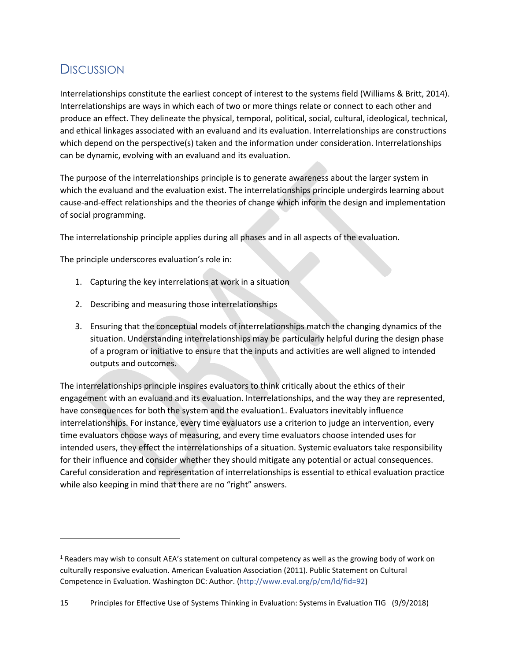## **DISCUSSION**

l

Interrelationships constitute the earliest concept of interest to the systems field (Williams & Britt, 2014). Interrelationships are ways in which each of two or more things relate or connect to each other and produce an effect. They delineate the physical, temporal, political, social, cultural, ideological, technical, and ethical linkages associated with an evaluand and its evaluation. Interrelationships are constructions which depend on the perspective(s) taken and the information under consideration. Interrelationships can be dynamic, evolving with an evaluand and its evaluation.

The purpose of the interrelationships principle is to generate awareness about the larger system in which the evaluand and the evaluation exist. The interrelationships principle undergirds learning about cause-and-effect relationships and the theories of change which inform the design and implementation of social programming.

The interrelationship principle applies during all phases and in all aspects of the evaluation.

The principle underscores evaluation's role in:

- 1. Capturing the key interrelations at work in a situation
- 2. Describing and measuring those interrelationships
- 3. Ensuring that the conceptual models of interrelationships match the changing dynamics of the situation. Understanding interrelationships may be particularly helpful during the design phase of a program or initiative to ensure that the inputs and activities are well aligned to intended outputs and outcomes.

The interrelationships principle inspires evaluators to think critically about the ethics of their engagement with an evaluand and its evaluation. Interrelationships, and the way they are represented, have consequences for both the system and the evaluation1. Evaluators inevitably influence interrelationships. For instance, every time evaluators use a criterion to judge an intervention, every time evaluators choose ways of measuring, and every time evaluators choose intended uses for intended users, they effect the interrelationships of a situation. Systemic evaluators take responsibility for their influence and consider whether they should mitigate any potential or actual consequences. Careful consideration and representation of interrelationships is essential to ethical evaluation practice while also keeping in mind that there are no "right" answers.

 $1$  Readers may wish to consult AEA's statement on cultural competency as well as the growing body of work on culturally responsive evaluation. American Evaluation Association (2011). Public Statement on Cultural Competence in Evaluation. Washington DC: Author. [\(http://www.eval.org/p/cm/ld/fid=92\)](http://www.eval.org/p/cm/ld/fid=92)

<sup>15</sup> Principles for Effective Use of Systems Thinking in Evaluation: Systems in Evaluation TIG (9/9/2018)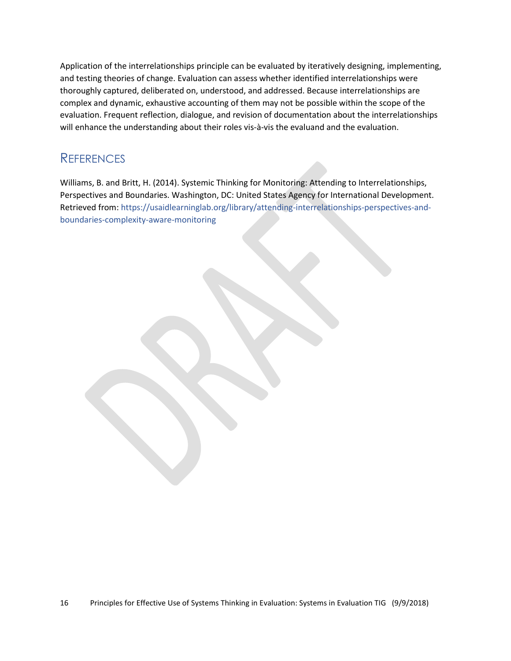Application of the interrelationships principle can be evaluated by iteratively designing, implementing, and testing theories of change. Evaluation can assess whether identified interrelationships were thoroughly captured, deliberated on, understood, and addressed. Because interrelationships are complex and dynamic, exhaustive accounting of them may not be possible within the scope of the evaluation. Frequent reflection, dialogue, and revision of documentation about the interrelationships will enhance the understanding about their roles vis-à-vis the evaluand and the evaluation.

### **REFERENCES**

Williams, B. and Britt, H. (2014). Systemic Thinking for Monitoring: Attending to Interrelationships, Perspectives and Boundaries. Washington, DC: United States Agency for International Development. Retrieved from: [https://usaidlearninglab.org/library/attending-interrelationships-perspectives-and](https://usaidlearninglab.org/library/attending-interrelationships-perspectives-and-boundaries-complexity-aware-monitoring)[boundaries-complexity-aware-monitoring](https://usaidlearninglab.org/library/attending-interrelationships-perspectives-and-boundaries-complexity-aware-monitoring)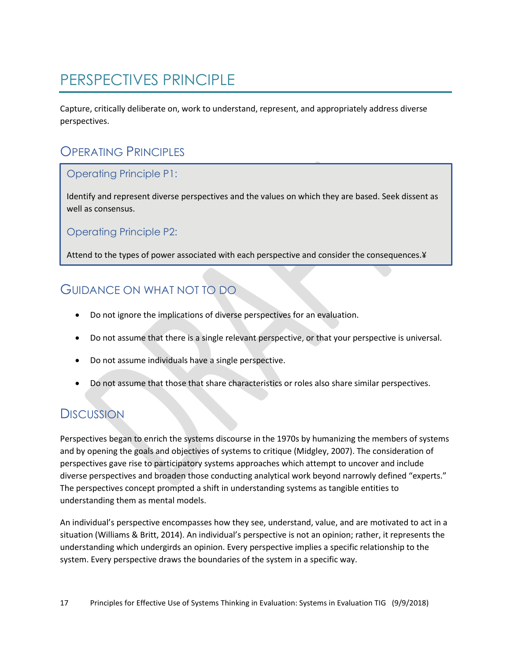# <span id="page-16-0"></span>PERSPECTIVES PRINCIPLE

Capture, critically deliberate on, work to understand, represent, and appropriately address diverse perspectives.

## OPERATING PRINCIPLES

#### Operating Principle P1:

Identify and represent diverse perspectives and the values on which they are based. Seek dissent as well as consensus.

Operating Principle P2:

Attend to the types of power associated with each perspective and consider the consequences.¥

### GUIDANCE ON WHAT NOT TO DO

- Do not ignore the implications of diverse perspectives for an evaluation.
- Do not assume that there is a single relevant perspective, or that your perspective is universal.
- Do not assume individuals have a single perspective.
- Do not assume that those that share characteristics or roles also share similar perspectives.

### **DISCUSSION**

Perspectives began to enrich the systems discourse in the 1970s by humanizing the members of systems and by opening the goals and objectives of systems to critique (Midgley, 2007). The consideration of perspectives gave rise to participatory systems approaches which attempt to uncover and include diverse perspectives and broaden those conducting analytical work beyond narrowly defined "experts." The perspectives concept prompted a shift in understanding systems as tangible entities to understanding them as mental models.

An individual's perspective encompasses how they see, understand, value, and are motivated to act in a situation (Williams & Britt, 2014). An individual's perspective is not an opinion; rather, it represents the understanding which undergirds an opinion. Every perspective implies a specific relationship to the system. Every perspective draws the boundaries of the system in a specific way.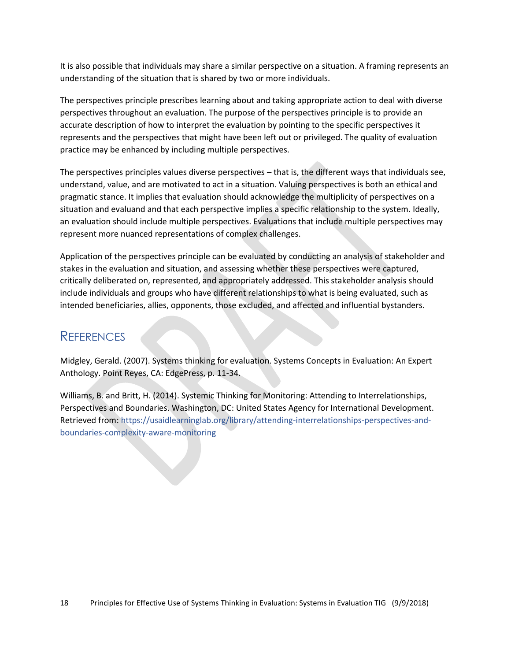It is also possible that individuals may share a similar perspective on a situation. A framing represents an understanding of the situation that is shared by two or more individuals.

The perspectives principle prescribes learning about and taking appropriate action to deal with diverse perspectives throughout an evaluation. The purpose of the perspectives principle is to provide an accurate description of how to interpret the evaluation by pointing to the specific perspectives it represents and the perspectives that might have been left out or privileged. The quality of evaluation practice may be enhanced by including multiple perspectives.

The perspectives principles values diverse perspectives – that is, the different ways that individuals see, understand, value, and are motivated to act in a situation. Valuing perspectives is both an ethical and pragmatic stance. It implies that evaluation should acknowledge the multiplicity of perspectives on a situation and evaluand and that each perspective implies a specific relationship to the system. Ideally, an evaluation should include multiple perspectives. Evaluations that include multiple perspectives may represent more nuanced representations of complex challenges.

Application of the perspectives principle can be evaluated by conducting an analysis of stakeholder and stakes in the evaluation and situation, and assessing whether these perspectives were captured, critically deliberated on, represented, and appropriately addressed. This stakeholder analysis should include individuals and groups who have different relationships to what is being evaluated, such as intended beneficiaries, allies, opponents, those excluded, and affected and influential bystanders.

### REFERENCES

Midgley, Gerald. (2007). Systems thinking for evaluation. Systems Concepts in Evaluation: An Expert Anthology. Point Reyes, CA: EdgePress, p. 11-34.

Williams, B. and Britt, H. (2014). Systemic Thinking for Monitoring: Attending to Interrelationships, Perspectives and Boundaries. Washington, DC: United States Agency for International Development. Retrieved from: [https://usaidlearninglab.org/library/attending-interrelationships-perspectives-and](https://usaidlearninglab.org/library/attending-interrelationships-perspectives-and-boundaries-complexity-aware-monitoring)[boundaries-complexity-aware-monitoring](https://usaidlearninglab.org/library/attending-interrelationships-perspectives-and-boundaries-complexity-aware-monitoring)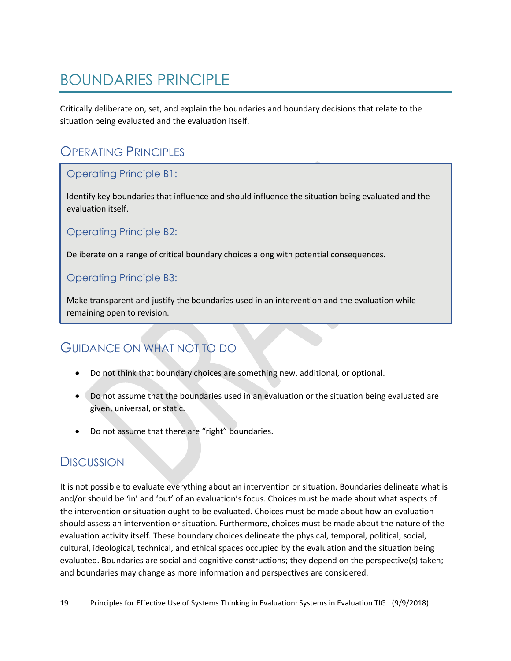# <span id="page-18-0"></span>BOUNDARIES PRINCIPLE

Critically deliberate on, set, and explain the boundaries and boundary decisions that relate to the situation being evaluated and the evaluation itself.

## OPERATING PRINCIPLES

#### Operating Principle B1:

Identify key boundaries that influence and should influence the situation being evaluated and the evaluation itself.

Operating Principle B2:

Deliberate on a range of critical boundary choices along with potential consequences.

#### Operating Principle B3:

Make transparent and justify the boundaries used in an intervention and the evaluation while remaining open to revision.

## GUIDANCE ON WHAT NOT TO DO

- Do not think that boundary choices are something new, additional, or optional.
- Do not assume that the boundaries used in an evaluation or the situation being evaluated are given, universal, or static.
- Do not assume that there are "right" boundaries.

### **DISCUSSION**

It is not possible to evaluate everything about an intervention or situation. Boundaries delineate what is and/or should be 'in' and 'out' of an evaluation's focus. Choices must be made about what aspects of the intervention or situation ought to be evaluated. Choices must be made about how an evaluation should assess an intervention or situation. Furthermore, choices must be made about the nature of the evaluation activity itself. These boundary choices delineate the physical, temporal, political, social, cultural, ideological, technical, and ethical spaces occupied by the evaluation and the situation being evaluated. Boundaries are social and cognitive constructions; they depend on the perspective(s) taken; and boundaries may change as more information and perspectives are considered.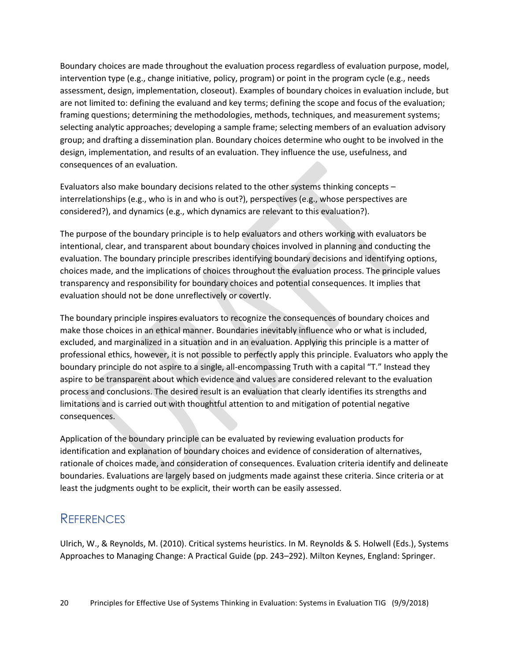Boundary choices are made throughout the evaluation process regardless of evaluation purpose, model, intervention type (e.g., change initiative, policy, program) or point in the program cycle (e.g., needs assessment, design, implementation, closeout). Examples of boundary choices in evaluation include, but are not limited to: defining the evaluand and key terms; defining the scope and focus of the evaluation; framing questions; determining the methodologies, methods, techniques, and measurement systems; selecting analytic approaches; developing a sample frame; selecting members of an evaluation advisory group; and drafting a dissemination plan. Boundary choices determine who ought to be involved in the design, implementation, and results of an evaluation. They influence the use, usefulness, and consequences of an evaluation.

Evaluators also make boundary decisions related to the other systems thinking concepts – interrelationships (e.g., who is in and who is out?), perspectives (e.g., whose perspectives are considered?), and dynamics (e.g., which dynamics are relevant to this evaluation?).

The purpose of the boundary principle is to help evaluators and others working with evaluators be intentional, clear, and transparent about boundary choices involved in planning and conducting the evaluation. The boundary principle prescribes identifying boundary decisions and identifying options, choices made, and the implications of choices throughout the evaluation process. The principle values transparency and responsibility for boundary choices and potential consequences. It implies that evaluation should not be done unreflectively or covertly.

The boundary principle inspires evaluators to recognize the consequences of boundary choices and make those choices in an ethical manner. Boundaries inevitably influence who or what is included, excluded, and marginalized in a situation and in an evaluation. Applying this principle is a matter of professional ethics, however, it is not possible to perfectly apply this principle. Evaluators who apply the boundary principle do not aspire to a single, all-encompassing Truth with a capital "T." Instead they aspire to be transparent about which evidence and values are considered relevant to the evaluation process and conclusions. The desired result is an evaluation that clearly identifies its strengths and limitations and is carried out with thoughtful attention to and mitigation of potential negative consequences.

Application of the boundary principle can be evaluated by reviewing evaluation products for identification and explanation of boundary choices and evidence of consideration of alternatives, rationale of choices made, and consideration of consequences. Evaluation criteria identify and delineate boundaries. Evaluations are largely based on judgments made against these criteria. Since criteria or at least the judgments ought to be explicit, their worth can be easily assessed.

### **REFERENCES**

Ulrich, W., & Reynolds, M. (2010). Critical systems heuristics. In M. Reynolds & S. Holwell (Eds.), Systems Approaches to Managing Change: A Practical Guide (pp. 243–292). Milton Keynes, England: Springer.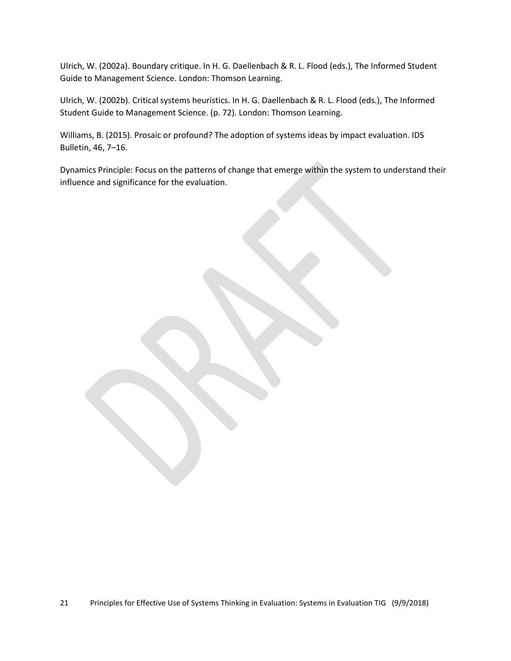Ulrich, W. (2002a). Boundary critique. In H. G. Daellenbach & R. L. Flood (eds.), The Informed Student Guide to Management Science. London: Thomson Learning.

Ulrich, W. (2002b). Critical systems heuristics. In H. G. Daellenbach & R. L. Flood (eds.), The Informed Student Guide to Management Science. (p. 72). London: Thomson Learning.

Williams, B. (2015). Prosaic or profound? The adoption of systems ideas by impact evaluation. IDS Bulletin, 46, 7–16.

Dynamics Principle: Focus on the patterns of change that emerge within the system to understand their influence and significance for the evaluation.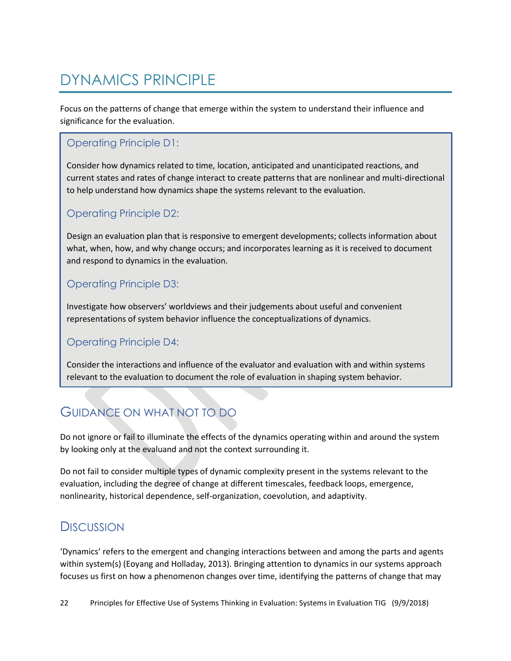# <span id="page-21-0"></span>DYNAMICS PRINCIPLE

Focus on the patterns of change that emerge within the system to understand their influence and significance for the evaluation.

#### Operating Principle D1:

Consider how dynamics related to time, location, anticipated and unanticipated reactions, and current states and rates of change interact to create patterns that are nonlinear and multi-directional to help understand how dynamics shape the systems relevant to the evaluation.

#### Operating Principle D2:

Design an evaluation plan that is responsive to emergent developments; collects information about what, when, how, and why change occurs; and incorporates learning as it is received to document and respond to dynamics in the evaluation.

#### Operating Principle D3:

Investigate how observers' worldviews and their judgements about useful and convenient representations of system behavior influence the conceptualizations of dynamics.

#### Operating Principle D4:

Consider the interactions and influence of the evaluator and evaluation with and within systems relevant to the evaluation to document the role of evaluation in shaping system behavior.

## GUIDANCE ON WHAT NOT TO DO

Do not ignore or fail to illuminate the effects of the dynamics operating within and around the system by looking only at the evaluand and not the context surrounding it.

Do not fail to consider multiple types of dynamic complexity present in the systems relevant to the evaluation, including the degree of change at different timescales, feedback loops, emergence, nonlinearity, historical dependence, self-organization, coevolution, and adaptivity.

### **DISCUSSION**

'Dynamics' refers to the emergent and changing interactions between and among the parts and agents within system(s) (Eoyang and Holladay, 2013). Bringing attention to dynamics in our systems approach focuses us first on how a phenomenon changes over time, identifying the patterns of change that may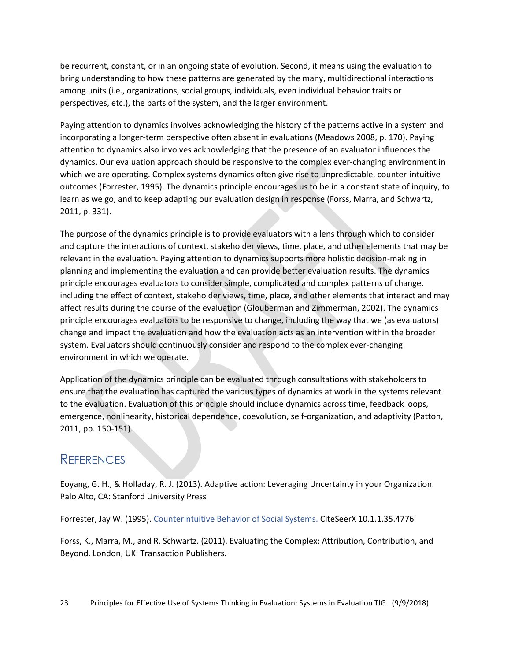be recurrent, constant, or in an ongoing state of evolution. Second, it means using the evaluation to bring understanding to how these patterns are generated by the many, multidirectional interactions among units (i.e., organizations, social groups, individuals, even individual behavior traits or perspectives, etc.), the parts of the system, and the larger environment.

Paying attention to dynamics involves acknowledging the history of the patterns active in a system and incorporating a longer-term perspective often absent in evaluations (Meadows 2008, p. 170). Paying attention to dynamics also involves acknowledging that the presence of an evaluator influences the dynamics. Our evaluation approach should be responsive to the complex ever-changing environment in which we are operating. Complex systems dynamics often give rise to unpredictable, counter-intuitive outcomes (Forrester, 1995). The dynamics principle encourages us to be in a constant state of inquiry, to learn as we go, and to keep adapting our evaluation design in response (Forss, Marra, and Schwartz, 2011, p. 331).

The purpose of the dynamics principle is to provide evaluators with a lens through which to consider and capture the interactions of context, stakeholder views, time, place, and other elements that may be relevant in the evaluation. Paying attention to dynamics supports more holistic decision-making in planning and implementing the evaluation and can provide better evaluation results. The dynamics principle encourages evaluators to consider simple, complicated and complex patterns of change, including the effect of context, stakeholder views, time, place, and other elements that interact and may affect results during the course of the evaluation (Glouberman and Zimmerman, 2002). The dynamics principle encourages evaluators to be responsive to change, including the way that we (as evaluators) change and impact the evaluation and how the evaluation acts as an intervention within the broader system. Evaluators should continuously consider and respond to the complex ever-changing environment in which we operate.

Application of the dynamics principle can be evaluated through consultations with stakeholders to ensure that the evaluation has captured the various types of dynamics at work in the systems relevant to the evaluation. Evaluation of this principle should include dynamics across time, feedback loops, emergence, nonlinearity, historical dependence, coevolution, self-organization, and adaptivity (Patton, 2011, pp. 150-151).

### REFERENCES

Eoyang, G. H., & Holladay, R. J. (2013). Adaptive action: Leveraging Uncertainty in your Organization. Palo Alto, CA: Stanford University Press

Forrester, Jay W. (1995). [Counterintuitive Behavior of Social Systems.](https://web.archive.org/web/20090823210010/http:/sysdyn.clexchange.org/sdep/Roadmaps/RM1/D-4468-2.pdf) CiteSeerX 10.1.1.35.4776

Forss, K., Marra, M., and R. Schwartz. (2011). Evaluating the Complex: Attribution, Contribution, and Beyond. London, UK: Transaction Publishers.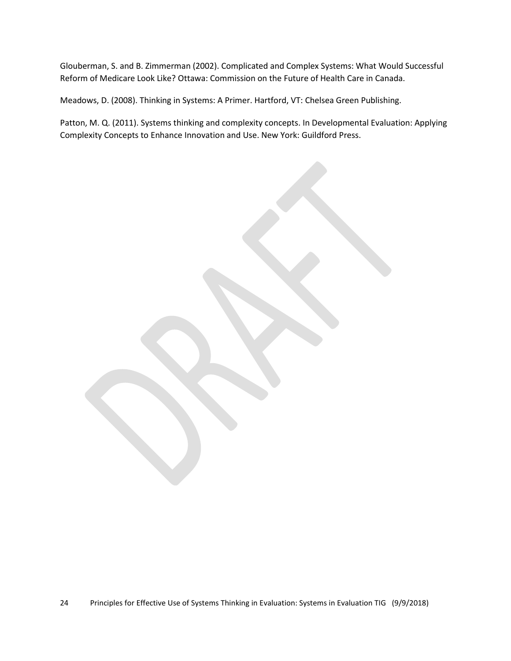Glouberman, S. and B. Zimmerman (2002). Complicated and Complex Systems: What Would Successful Reform of Medicare Look Like? Ottawa: Commission on the Future of Health Care in Canada.

Meadows, D. (2008). Thinking in Systems: A Primer. Hartford, VT: Chelsea Green Publishing.

Patton, M. Q. (2011). Systems thinking and complexity concepts. In Developmental Evaluation: Applying Complexity Concepts to Enhance Innovation and Use. New York: Guildford Press.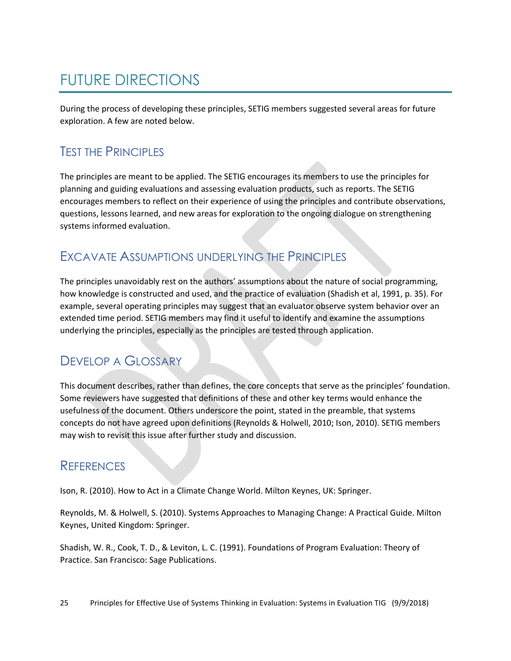# <span id="page-24-0"></span>FUTURE DIRECTIONS

During the process of developing these principles, SETIG members suggested several areas for future exploration. A few are noted below.

## TEST THE PRINCIPLES

The principles are meant to be applied. The SETIG encourages its members to use the principles for planning and guiding evaluations and assessing evaluation products, such as reports. The SETIG encourages members to reflect on their experience of using the principles and contribute observations, questions, lessons learned, and new areas for exploration to the ongoing dialogue on strengthening systems informed evaluation.

### EXCAVATE ASSUMPTIONS UNDERLYING THE PRINCIPLES

The principles unavoidably rest on the authors' assumptions about the nature of social programming, how knowledge is constructed and used, and the practice of evaluation (Shadish et al, 1991, p. 35). For example, several operating principles may suggest that an evaluator observe system behavior over an extended time period. SETIG members may find it useful to identify and examine the assumptions underlying the principles, especially as the principles are tested through application.

## DEVELOP A GLOSSARY

This document describes, rather than defines, the core concepts that serve as the principles' foundation. Some reviewers have suggested that definitions of these and other key terms would enhance the usefulness of the document. Others underscore the point, stated in the preamble, that systems concepts do not have agreed upon definitions (Reynolds & Holwell, 2010; Ison, 2010). SETIG members may wish to revisit this issue after further study and discussion.

### **REFERENCES**

Ison, R. (2010). How to Act in a Climate Change World. Milton Keynes, UK: Springer.

Reynolds, M. & Holwell, S. (2010). Systems Approaches to Managing Change: A Practical Guide. Milton Keynes, United Kingdom: Springer.

Shadish, W. R., Cook, T. D., & Leviton, L. C. (1991). Foundations of Program Evaluation: Theory of Practice. San Francisco: Sage Publications.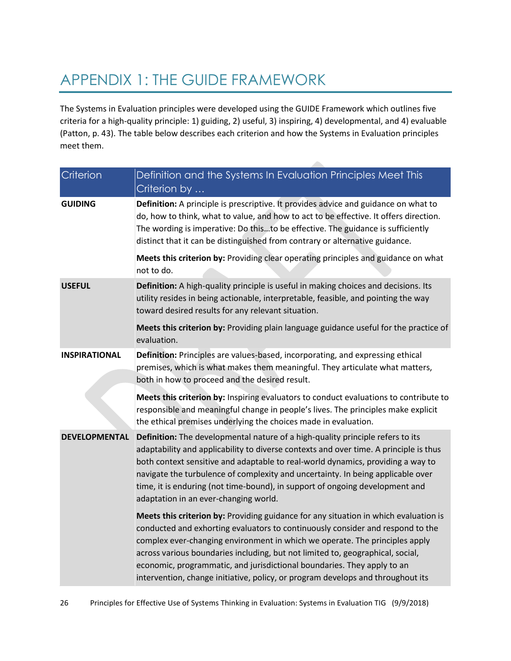# <span id="page-25-0"></span>APPENDIX 1: THE GUIDE FRAMEWORK

The Systems in Evaluation principles were developed using the GUIDE Framework which outlines five criteria for a high-quality principle: 1) guiding, 2) useful, 3) inspiring, 4) developmental, and 4) evaluable (Patton, p. 43). The table below describes each criterion and how the Systems in Evaluation principles meet them.

| Criterion            | Definition and the Systems In Evaluation Principles Meet This<br>Criterion by                                                                                                                                                                                                                                                                                                                                                                                                                         |
|----------------------|-------------------------------------------------------------------------------------------------------------------------------------------------------------------------------------------------------------------------------------------------------------------------------------------------------------------------------------------------------------------------------------------------------------------------------------------------------------------------------------------------------|
| <b>GUIDING</b>       | Definition: A principle is prescriptive. It provides advice and guidance on what to<br>do, how to think, what to value, and how to act to be effective. It offers direction.<br>The wording is imperative: Do thisto be effective. The guidance is sufficiently<br>distinct that it can be distinguished from contrary or alternative guidance.                                                                                                                                                       |
|                      | Meets this criterion by: Providing clear operating principles and guidance on what<br>not to do.                                                                                                                                                                                                                                                                                                                                                                                                      |
| <b>USEFUL</b>        | Definition: A high-quality principle is useful in making choices and decisions. Its<br>utility resides in being actionable, interpretable, feasible, and pointing the way<br>toward desired results for any relevant situation.                                                                                                                                                                                                                                                                       |
|                      | Meets this criterion by: Providing plain language guidance useful for the practice of<br>evaluation.                                                                                                                                                                                                                                                                                                                                                                                                  |
| <b>INSPIRATIONAL</b> | Definition: Principles are values-based, incorporating, and expressing ethical<br>premises, which is what makes them meaningful. They articulate what matters,<br>both in how to proceed and the desired result.                                                                                                                                                                                                                                                                                      |
|                      | Meets this criterion by: Inspiring evaluators to conduct evaluations to contribute to<br>responsible and meaningful change in people's lives. The principles make explicit<br>the ethical premises underlying the choices made in evaluation.                                                                                                                                                                                                                                                         |
| <b>DEVELOPMENTAL</b> | Definition: The developmental nature of a high-quality principle refers to its<br>adaptability and applicability to diverse contexts and over time. A principle is thus<br>both context sensitive and adaptable to real-world dynamics, providing a way to<br>navigate the turbulence of complexity and uncertainty. In being applicable over<br>time, it is enduring (not time-bound), in support of ongoing development and<br>adaptation in an ever-changing world.                                |
|                      | Meets this criterion by: Providing guidance for any situation in which evaluation is<br>conducted and exhorting evaluators to continuously consider and respond to the<br>complex ever-changing environment in which we operate. The principles apply<br>across various boundaries including, but not limited to, geographical, social,<br>economic, programmatic, and jurisdictional boundaries. They apply to an<br>intervention, change initiative, policy, or program develops and throughout its |